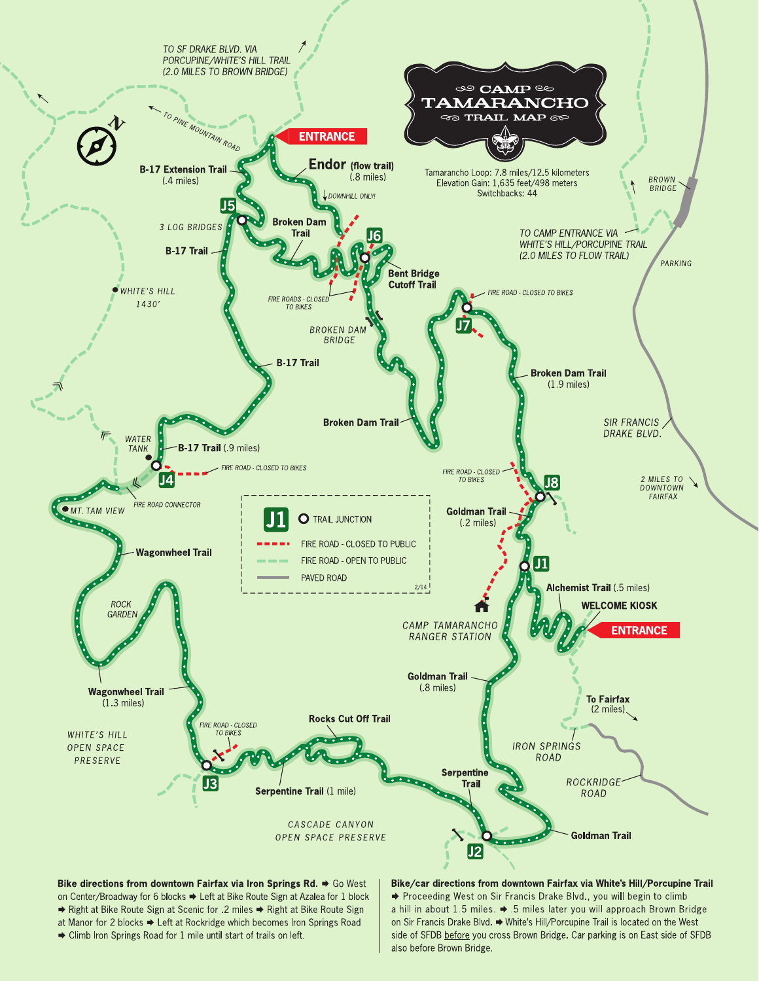

on Center/Broadway for 6 blocks → Left at Bike Route Sign at Azalea for 1 block → Right at Bike Route Sign at Scenic for .2 miles → Right at Bike Route Sign at Manor for 2 blocks → Left at Rockridge which becomes Iron Springs Road Climb Iron Springs Road for 1 mile until start of trails on left.

→ Proceeding West on Sir Francis Drake Blvd., you will begin to climb a hill in about 1.5 miles. → 5 miles later you will approach Brown Bridge on Sir Francis Drake Blvd. → White's Hill/Porcupine Trail is located on the West side of SFDB before you cross Brown Bridge. Car parking is on East side of SFDB also before Brown Bridge.